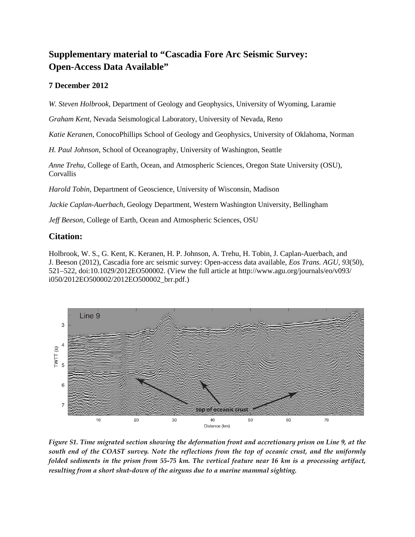## **Supplementary material to "Cascadia Fore Arc Seismic Survey: Open-Access Data Available"**

## **7 December 2012**

*W. Steven Holbrook*, Department of Geology and Geophysics, University of Wyoming, Laramie

*Graham Kent*, Nevada Seismological Laboratory, University of Nevada, Reno

*Katie Keranen*, ConocoPhillips School of Geology and Geophysics, University of Oklahoma, Norman

*H. Paul Johnson*, School of Oceanography, University of Washington, Seattle

*Anne Trehu*, College of Earth, Ocean, and Atmospheric Sciences, Oregon State University (OSU), Corvallis

*Harold Tobin*, Department of Geoscience, University of Wisconsin, Madison

*Jackie Caplan-Auerbach*, Geology Department, Western Washington University, Bellingham

*Jeff Beeson*, College of Earth, Ocean and Atmospheric Sciences, OSU

## **Citation:**

Holbrook, W. S., G. Kent, K. Keranen, H. P. Johnson, A. Trehu, H. Tobin, J. Caplan-Auerbach, and J. Beeson (2012), Cascadia fore arc seismic survey: Open-access data available, *Eos Trans. AGU*, *93*(50), [521–522, doi:10.1029/2012EO500002. \(View the full article at](http://www.agu.org/journals/eo/v093/i050/2012EO500002/2012EO500002_brr.pdf) http://www.agu.org/journals/eo/v093/ i050/2012EO500002/2012EO500002\_brr.pdf.)



*Figure S1. Time migrated section showing the deformation front and accretionary prism on Line 9, at the south end of the COAST survey. Note the reflections from the top of oceanic crust, and the uniformly folded sediments in the prism from 55-75 km. The vertical feature near 16 km is a processing artifact, resulting from a short shut-down of the airguns due to a marine mammal sighting.*